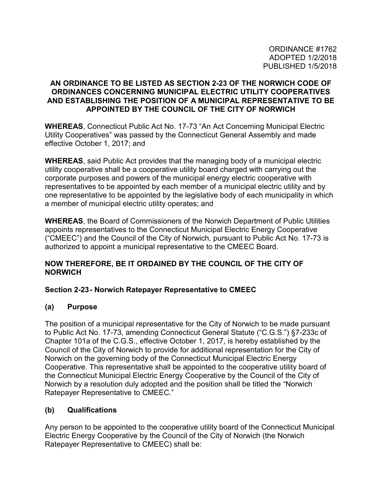#### **AN ORDINANCE TO BE LISTED AS SECTION 2-23 OF THE NORWICH CODE OF ORDINANCES CONCERNING MUNICIPAL ELECTRIC UTILITY COOPERATIVES AND ESTABLISHING THE POSITION OF A MUNICIPAL REPRESENTATIVE TO BE APPOINTED BY THE COUNCIL OF THE CITY OF NORWICH**

**WHEREAS**, Connecticut Public Act No. 17-73 "An Act Concerning Municipal Electric Utility Cooperatives" was passed by the Connecticut General Assembly and made effective October 1, 2017; and

**WHEREAS**, said Public Act provides that the managing body of a municipal electric utility cooperative shall be a cooperative utility board charged with carrying out the corporate purposes and powers of the municipal energy electric cooperative with representatives to be appointed by each member of a municipal electric utility and by one representative to be appointed by the legislative body of each municipality in which a member of municipal electric utility operates; and

**WHEREAS**, the Board of Commissioners of the Norwich Department of Public Utilities appoints representatives to the Connecticut Municipal Electric Energy Cooperative ("CMEEC") and the Council of the City of Norwich, pursuant to Public Act No. 17-73 is authorized to appoint a municipal representative to the CMEEC Board.

### **NOW THEREFORE, BE IT ORDAINED BY THE COUNCIL OF THE CITY OF NORWICH**

### **Section 2-23 - Norwich Ratepayer Representative to CMEEC**

### **(a) Purpose**

The position of a municipal representative for the City of Norwich to be made pursuant to Public Act No. 17-73, amending Connecticut General Statute ("C.G.S.") §7-233c of Chapter 101a of the C.G.S., effective October 1, 2017, is hereby established by the Council of the City of Norwich to provide for additional representation for the City of Norwich on the governing body of the Connecticut Municipal Electric Energy Cooperative. This representative shall be appointed to the cooperative utility board of the Connecticut Municipal Electric Energy Cooperative by the Council of the City of Norwich by a resolution duly adopted and the position shall be titled the "Norwich Ratepayer Representative to CMEEC."

# **(b) Qualifications**

Any person to be appointed to the cooperative utility board of the Connecticut Municipal Electric Energy Cooperative by the Council of the City of Norwich (the Norwich Ratepayer Representative to CMEEC) shall be: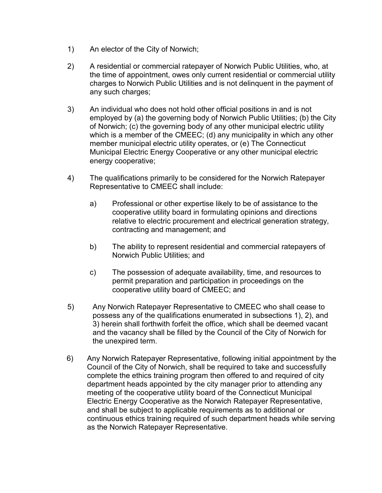- 1) An elector of the City of Norwich;
- 2) A residential or commercial ratepayer of Norwich Public Utilities, who, at the time of appointment, owes only current residential or commercial utility charges to Norwich Public Utilities and is not delinquent in the payment of any such charges;
- 3) An individual who does not hold other official positions in and is not employed by (a) the governing body of Norwich Public Utilities; (b) the City of Norwich; (c) the governing body of any other municipal electric utility which is a member of the CMEEC; (d) any municipality in which any other member municipal electric utility operates, or (e) The Connecticut Municipal Electric Energy Cooperative or any other municipal electric energy cooperative;
- 4) The qualifications primarily to be considered for the Norwich Ratepayer Representative to CMEEC shall include:
	- a) Professional or other expertise likely to be of assistance to the cooperative utility board in formulating opinions and directions relative to electric procurement and electrical generation strategy, contracting and management; and
	- b) The ability to represent residential and commercial ratepayers of Norwich Public Utilities; and
	- c) The possession of adequate availability, time, and resources to permit preparation and participation in proceedings on the cooperative utility board of CMEEC; and
- 5) Any Norwich Ratepayer Representative to CMEEC who shall cease to possess any of the qualifications enumerated in subsections 1), 2), and 3) herein shall forthwith forfeit the office, which shall be deemed vacant and the vacancy shall be filled by the Council of the City of Norwich for the unexpired term.
- 6) Any Norwich Ratepayer Representative, following initial appointment by the Council of the City of Norwich, shall be required to take and successfully complete the ethics training program then offered to and required of city department heads appointed by the city manager prior to attending any meeting of the cooperative utility board of the Connecticut Municipal Electric Energy Cooperative as the Norwich Ratepayer Representative, and shall be subject to applicable requirements as to additional or continuous ethics training required of such department heads while serving as the Norwich Ratepayer Representative.